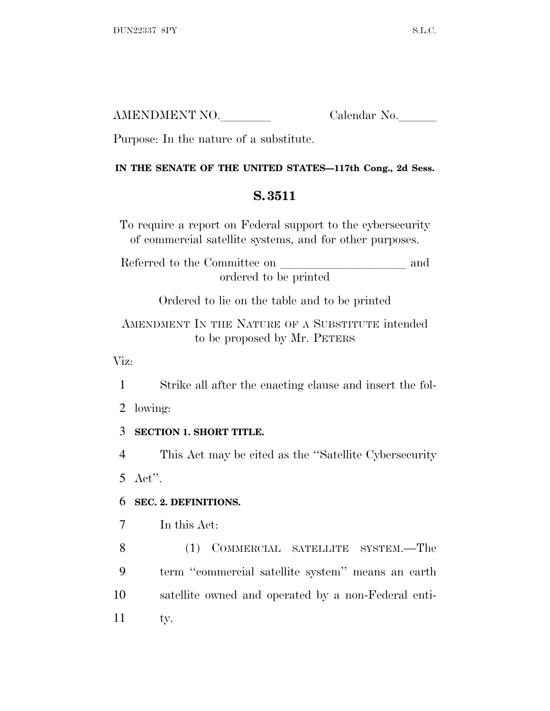| AMENDMENT NO. | Calendar No. |
|---------------|--------------|
|               |              |

Purpose: In the nature of a substitute.

## **IN THE SENATE OF THE UNITED STATES—117th Cong., 2d Sess.**

## **S. 3511**

To require a report on Federal support to the cybersecurity of commercial satellite systems, and for other purposes.

Referred to the Committee on and ordered to be printed

Ordered to lie on the table and to be printed

AMENDMENT IN THE NATURE OF A SUBSTITUTE intended to be proposed by Mr. PETERS

Viz:

1 Strike all after the enacting clause and insert the fol-

2 lowing:

## 3 **SECTION 1. SHORT TITLE.**

4 This Act may be cited as the ''Satellite Cybersecurity 5 Act''.

## 6 **SEC. 2. DEFINITIONS.**

7 In this Act:

 (1) COMMERCIAL SATELLITE SYSTEM.—The term ''commercial satellite system'' means an earth satellite owned and operated by a non-Federal enti-11 ty.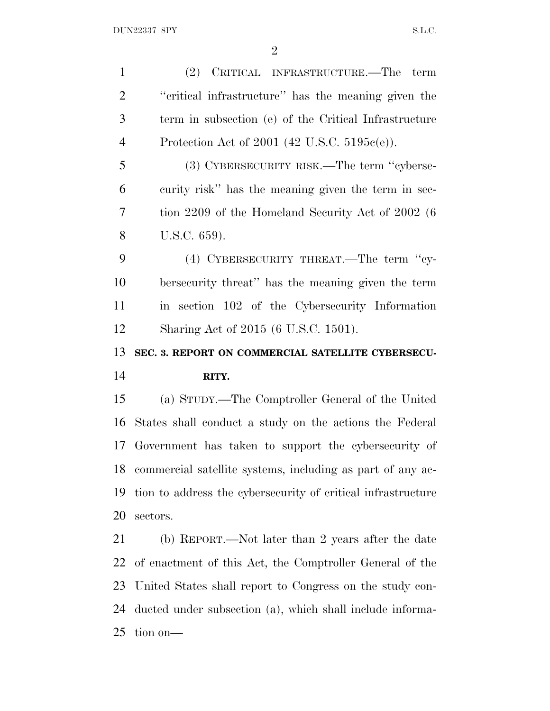(2) CRITICAL INFRASTRUCTURE.—The term ''critical infrastructure'' has the meaning given the term in subsection (e) of the Critical Infrastructure Protection Act of 2001 (42 U.S.C. 5195c(e)). (3) CYBERSECURITY RISK.—The term ''cyberse- curity risk'' has the meaning given the term in sec- tion 2209 of the Homeland Security Act of 2002 (6 U.S.C. 659). (4) CYBERSECURITY THREAT.—The term ''cy- bersecurity threat'' has the meaning given the term in section 102 of the Cybersecurity Information Sharing Act of 2015 (6 U.S.C. 1501). **SEC. 3. REPORT ON COMMERCIAL SATELLITE CYBERSECU- RITY.** (a) STUDY.—The Comptroller General of the United States shall conduct a study on the actions the Federal Government has taken to support the cybersecurity of commercial satellite systems, including as part of any ac- tion to address the cybersecurity of critical infrastructure sectors. (b) REPORT.—Not later than 2 years after the date of enactment of this Act, the Comptroller General of the United States shall report to Congress on the study con-

 ducted under subsection (a), which shall include informa-tion on—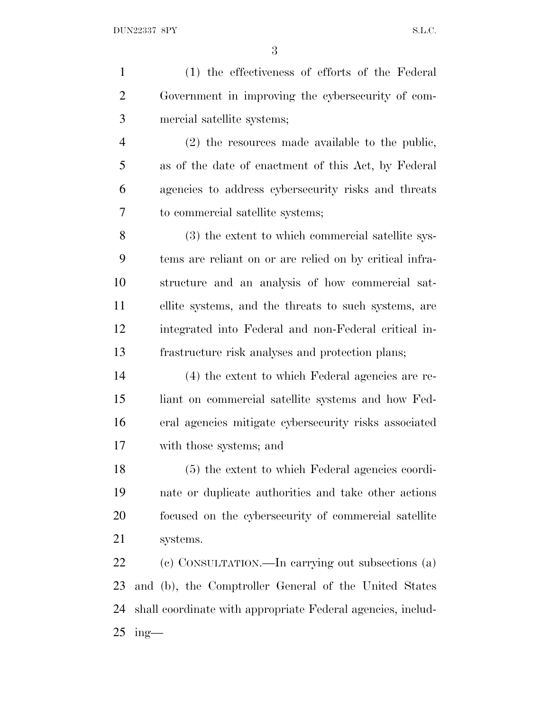(1) the effectiveness of efforts of the Federal Government in improving the cybersecurity of com- mercial satellite systems; (2) the resources made available to the public, as of the date of enactment of this Act, by Federal agencies to address cybersecurity risks and threats to commercial satellite systems; (3) the extent to which commercial satellite sys- tems are reliant on or are relied on by critical infra- structure and an analysis of how commercial sat- ellite systems, and the threats to such systems, are integrated into Federal and non-Federal critical in- frastructure risk analyses and protection plans; (4) the extent to which Federal agencies are re- liant on commercial satellite systems and how Fed- eral agencies mitigate cybersecurity risks associated with those systems; and (5) the extent to which Federal agencies coordi- nate or duplicate authorities and take other actions focused on the cybersecurity of commercial satellite systems. (c) CONSULTATION.—In carrying out subsections (a) and (b), the Comptroller General of the United States shall coordinate with appropriate Federal agencies, includ-ing-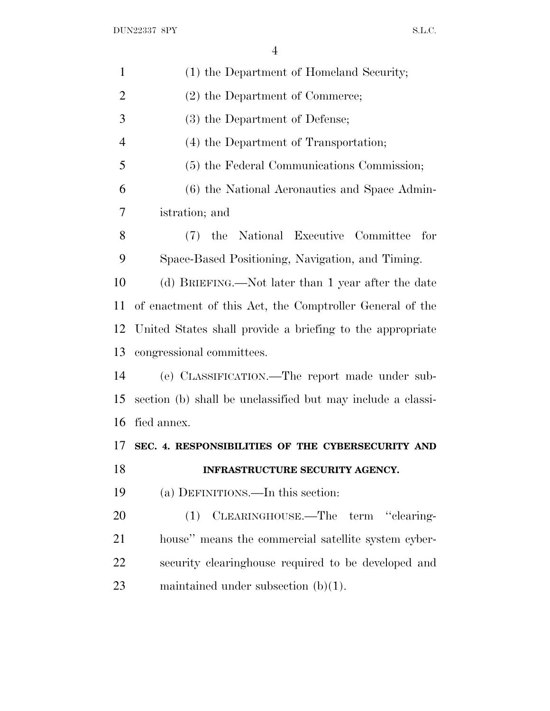| $\mathbf{1}$   | (1) the Department of Homeland Security;                    |
|----------------|-------------------------------------------------------------|
| $\overline{2}$ | (2) the Department of Commerce;                             |
| 3              | (3) the Department of Defense;                              |
| $\overline{4}$ | (4) the Department of Transportation;                       |
| 5              | (5) the Federal Communications Commission;                  |
| 6              | (6) the National Aeronautics and Space Admin-               |
| 7              | istration; and                                              |
| 8              | (7) the National Executive Committee for                    |
| 9              | Space-Based Positioning, Navigation, and Timing.            |
| 10             | (d) BRIEFING.—Not later than 1 year after the date          |
| 11             | of enactment of this Act, the Comptroller General of the    |
| 12             | United States shall provide a briefing to the appropriate   |
| 13             | congressional committees.                                   |
| 14             | (e) CLASSIFICATION.—The report made under sub-              |
| 15             | section (b) shall be unclassified but may include a classi- |
| 16             | fied annex.                                                 |
| 17             | SEC. 4. RESPONSIBILITIES OF THE CYBERSECURITY AND           |
| 18             | INFRASTRUCTURE SECURITY AGENCY.                             |
| 19             | (a) DEFINITIONS.—In this section:                           |
| 20             | (1) CLEARINGHOUSE.—The term "clearing-                      |
| 21             | house" means the commercial satellite system cyber-         |
| 22             | security clearinghouse required to be developed and         |
| 23             | maintained under subsection $(b)(1)$ .                      |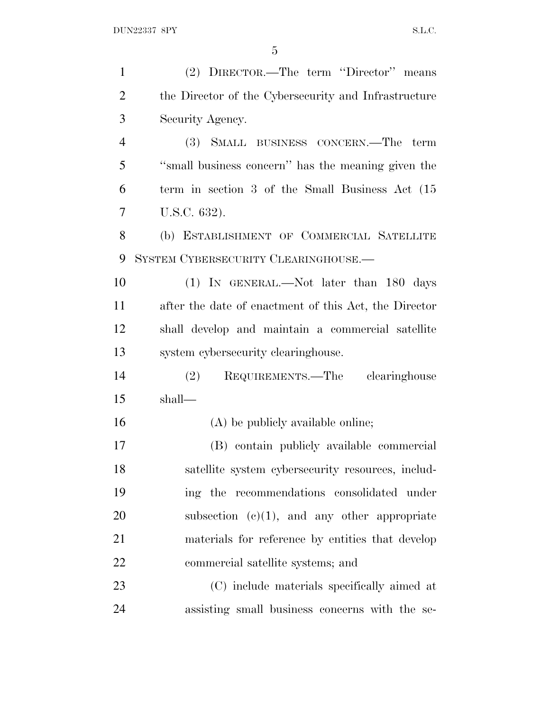| $\mathbf{1}$   | (2) DIRECTOR.—The term "Director" means               |
|----------------|-------------------------------------------------------|
| $\overline{2}$ | the Director of the Cybersecurity and Infrastructure  |
| 3              | Security Agency.                                      |
| $\overline{4}$ | (3) SMALL BUSINESS CONCERN.—The term                  |
| 5              | "small business concern" has the meaning given the    |
| 6              | term in section 3 of the Small Business Act (15       |
| 7              | U.S.C. 632).                                          |
| 8              | (b) ESTABLISHMENT OF COMMERCIAL SATELLITE             |
| 9              | SYSTEM CYBERSECURITY CLEARINGHOUSE.                   |
| 10             | (1) IN GENERAL.—Not later than 180 days               |
| 11             | after the date of enactment of this Act, the Director |
| 12             | shall develop and maintain a commercial satellite     |
| 13             | system cybersecurity clearinghouse.                   |
| 14             | (2) REQUIREMENTS.—The clearinghouse                   |
| 15             | shall—                                                |
| 16             | (A) be publicly available online;                     |
| 17             | (B) contain publicly available commercial             |
| 18             | satellite system cybersecurity resources, includ-     |
| 19             | ing the recommendations consolidated under            |
| 20             | subsection $(e)(1)$ , and any other appropriate       |
| 21             | materials for reference by entities that develop      |
| 22             | commercial satellite systems; and                     |
| 23             | (C) include materials specifically aimed at           |
| 24             | assisting small business concerns with the se-        |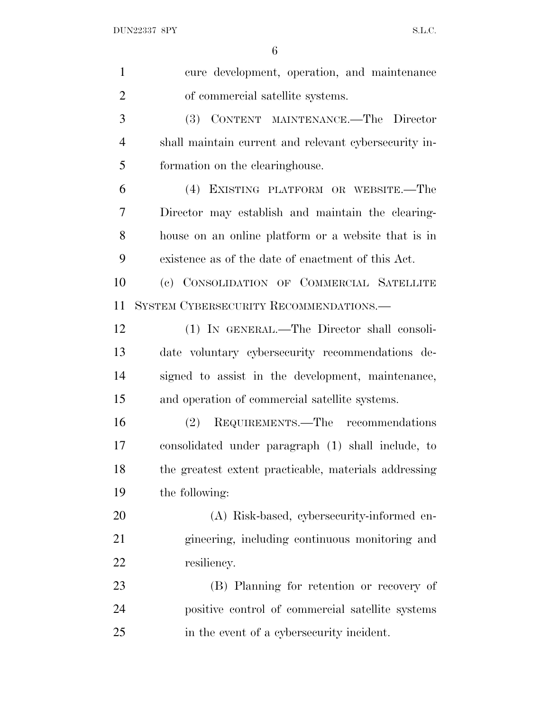| $\mathbf{1}$   | cure development, operation, and maintenance          |
|----------------|-------------------------------------------------------|
| $\overline{2}$ | of commercial satellite systems.                      |
| 3              | (3) CONTENT MAINTENANCE.—The Director                 |
| $\overline{4}$ | shall maintain current and relevant cybersecurity in- |
| 5              | formation on the clearinghouse.                       |
| 6              | (4) EXISTING PLATFORM OR WEBSITE.—The                 |
| 7              | Director may establish and maintain the clearing-     |
| 8              | house on an online platform or a website that is in   |
| 9              | existence as of the date of enactment of this Act.    |
| 10             | (c) CONSOLIDATION OF COMMERCIAL SATELLITE             |
| 11             | SYSTEM CYBERSECURITY RECOMMENDATIONS.—                |
| 12             | (1) IN GENERAL.—The Director shall consoli-           |
| 13             | date voluntary cybersecurity recommendations de-      |
| 14             | signed to assist in the development, maintenance,     |
| 15             | and operation of commercial satellite systems.        |
| 16             | REQUIREMENTS.—The recommendations<br>(2)              |
| 17             | consolidated under paragraph (1) shall include, to    |
| 18             | the greatest extent practicable, materials addressing |
| 19             | the following:                                        |
| <b>20</b>      | (A) Risk-based, cybersecurity-informed en-            |
| 21             | gineering, including continuous monitoring and        |
| 22             | resiliency.                                           |
| 23             | (B) Planning for retention or recovery of             |
| 24             | positive control of commercial satellite systems      |
| 25             | in the event of a cybersecurity incident.             |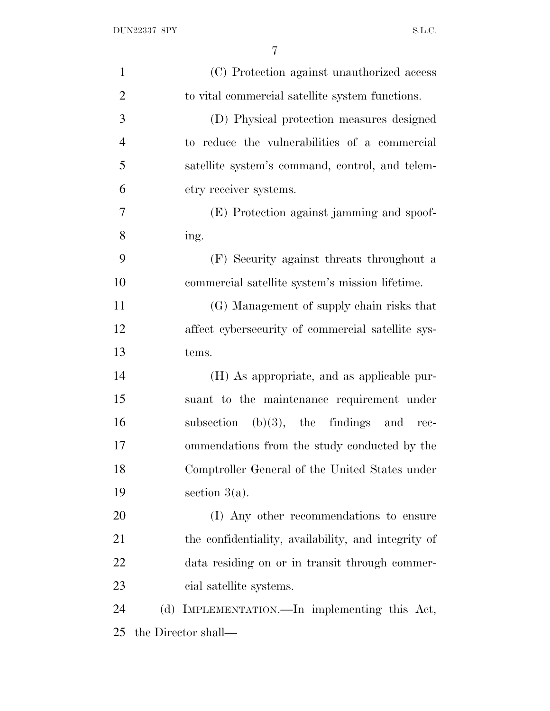| $\mathbf{1}$   | (C) Protection against unauthorized access          |
|----------------|-----------------------------------------------------|
| $\overline{2}$ | to vital commercial satellite system functions.     |
| 3              | (D) Physical protection measures designed           |
| $\overline{4}$ | to reduce the vulnerabilities of a commercial       |
| 5              | satellite system's command, control, and telem-     |
| 6              | etry receiver systems.                              |
| 7              | (E) Protection against jamming and spoof-           |
| 8              | ing.                                                |
| 9              | (F) Security against threats throughout a           |
| 10             | commercial satellite system's mission lifetime.     |
| 11             | (G) Management of supply chain risks that           |
| 12             | affect cybersecurity of commercial satellite sys-   |
| 13             | tems.                                               |
| 14             | (H) As appropriate, and as applicable pur-          |
| 15             | suant to the maintenance requirement under          |
| 16             | subsection $(b)(3)$ , the findings and<br>rec-      |
| 17             | ommendations from the study conducted by the        |
| 18             | Comptroller General of the United States under      |
| 19             | section $3(a)$ .                                    |
| 20             | (I) Any other recommendations to ensure             |
| 21             | the confidentiality, availability, and integrity of |
| 22             | data residing on or in transit through commer-      |
| 23             | cial satellite systems.                             |
| 24             | IMPLEMENTATION.—In implementing this Act,<br>(d)    |
| 25             | the Director shall—                                 |